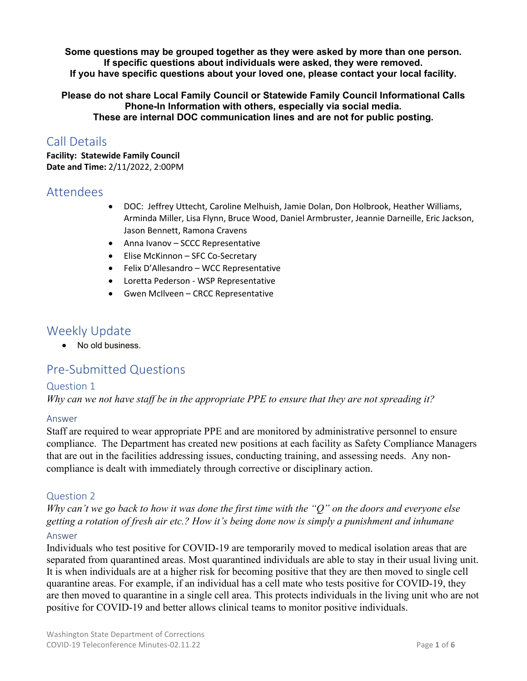**Some questions may be grouped together as they were asked by more than one person. If specific questions about individuals were asked, they were removed. If you have specific questions about your loved one, please contact your local facility.** 

**Please do not share Local Family Council or Statewide Family Council Informational Calls Phone-In Information with others, especially via social media. These are internal DOC communication lines and are not for public posting.**

# Call Details

**Facility: Statewide Family Council Date and Time:** 2/11/2022, 2:00PM

## Attendees

- DOC: Jeffrey Uttecht, Caroline Melhuish, Jamie Dolan, Don Holbrook, Heather Williams, Arminda Miller, Lisa Flynn, Bruce Wood, Daniel Armbruster, Jeannie Darneille, Eric Jackson, Jason Bennett, Ramona Cravens
- Anna Ivanov SCCC Representative
- Elise McKinnon SFC Co-Secretary
- Felix D'Allesandro WCC Representative
- Loretta Pederson WSP Representative
- Gwen McIlveen CRCC Representative

# Weekly Update

• No old business.

# Pre-Submitted Questions

#### Question 1

*Why can we not have staff be in the appropriate PPE to ensure that they are not spreading it?* 

#### Answer

Staff are required to wear appropriate PPE and are monitored by administrative personnel to ensure compliance. The Department has created new positions at each facility as Safety Compliance Managers that are out in the facilities addressing issues, conducting training, and assessing needs. Any noncompliance is dealt with immediately through corrective or disciplinary action.

## Question 2

*Why can't we go back to how it was done the first time with the "Q" on the doors and everyone else getting a rotation of fresh air etc.? How it's being done now is simply a punishment and inhumane* 

#### Answer

Individuals who test positive for COVID-19 are temporarily moved to medical isolation areas that are separated from quarantined areas. Most quarantined individuals are able to stay in their usual living unit. It is when individuals are at a higher risk for becoming positive that they are then moved to single cell quarantine areas. For example, if an individual has a cell mate who tests positive for COVID-19, they are then moved to quarantine in a single cell area. This protects individuals in the living unit who are not positive for COVID-19 and better allows clinical teams to monitor positive individuals.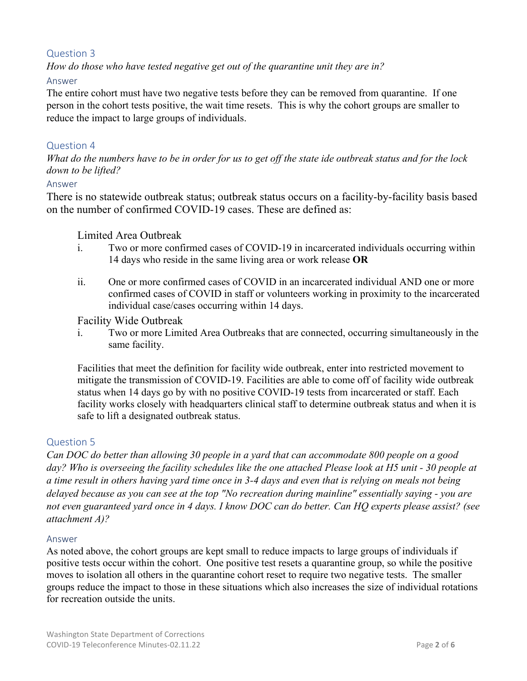## Question 3

*How do those who have tested negative get out of the quarantine unit they are in?*

## Answer

The entire cohort must have two negative tests before they can be removed from quarantine. If one person in the cohort tests positive, the wait time resets. This is why the cohort groups are smaller to reduce the impact to large groups of individuals.

#### Question 4

*What do the numbers have to be in order for us to get off the state ide outbreak status and for the lock down to be lifted?* 

#### Answer

There is no statewide outbreak status; outbreak status occurs on a facility-by-facility basis based on the number of confirmed COVID-19 cases. These are defined as:

#### Limited Area Outbreak

- i. Two or more confirmed cases of COVID-19 in incarcerated individuals occurring within 14 days who reside in the same living area or work release **OR**
- ii. One or more confirmed cases of COVID in an incarcerated individual AND one or more confirmed cases of COVID in staff or volunteers working in proximity to the incarcerated individual case/cases occurring within 14 days.

#### Facility Wide Outbreak

i. Two or more Limited Area Outbreaks that are connected, occurring simultaneously in the same facility.

Facilities that meet the definition for facility wide outbreak, enter into restricted movement to mitigate the transmission of COVID-19. Facilities are able to come off of facility wide outbreak status when 14 days go by with no positive COVID-19 tests from incarcerated or staff. Each facility works closely with headquarters clinical staff to determine outbreak status and when it is safe to lift a designated outbreak status.

## Question 5

*Can DOC do better than allowing 30 people in a yard that can accommodate 800 people on a good day? Who is overseeing the facility schedules like the one attached Please look at H5 unit - 30 people at a time result in others having yard time once in 3-4 days and even that is relying on meals not being delayed because as you can see at the top "No recreation during mainline" essentially saying - you are not even guaranteed yard once in 4 days. I know DOC can do better. Can HQ experts please assist? (see attachment A)?* 

#### Answer

As noted above, the cohort groups are kept small to reduce impacts to large groups of individuals if positive tests occur within the cohort. One positive test resets a quarantine group, so while the positive moves to isolation all others in the quarantine cohort reset to require two negative tests. The smaller groups reduce the impact to those in these situations which also increases the size of individual rotations for recreation outside the units.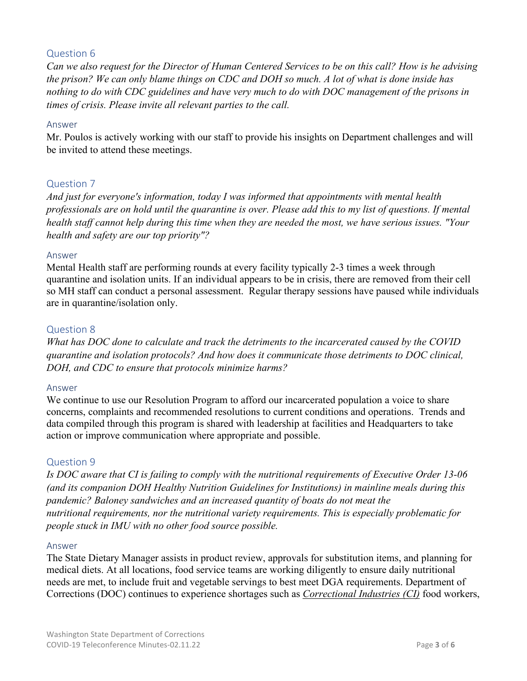## Question 6

*Can we also request for the Director of Human Centered Services to be on this call? How is he advising the prison? We can only blame things on CDC and DOH so much. A lot of what is done inside has nothing to do with CDC guidelines and have very much to do with DOC management of the prisons in times of crisis. Please invite all relevant parties to the call.* 

#### Answer

Mr. Poulos is actively working with our staff to provide his insights on Department challenges and will be invited to attend these meetings.

## Question 7

*And just for everyone's information, today I was informed that appointments with mental health professionals are on hold until the quarantine is over. Please add this to my list of questions. If mental health staff cannot help during this time when they are needed the most, we have serious issues. "Your health and safety are our top priority"?* 

#### Answer

Mental Health staff are performing rounds at every facility typically 2-3 times a week through quarantine and isolation units. If an individual appears to be in crisis, there are removed from their cell so MH staff can conduct a personal assessment. Regular therapy sessions have paused while individuals are in quarantine/isolation only.

#### Question 8

*What has DOC done to calculate and track the detriments to the incarcerated caused by the COVID quarantine and isolation protocols? And how does it communicate those detriments to DOC clinical, DOH, and CDC to ensure that protocols minimize harms?* 

#### Answer

We continue to use our Resolution Program to afford our incarcerated population a voice to share concerns, complaints and recommended resolutions to current conditions and operations. Trends and data compiled through this program is shared with leadership at facilities and Headquarters to take action or improve communication where appropriate and possible.

#### Question 9

*Is DOC aware that CI is failing to comply with the nutritional requirements of Executive Order 13-06 (and its companion DOH Healthy Nutrition Guidelines for Institutions) in mainline meals during this pandemic? Baloney sandwiches and an increased quantity of boats do not meat the nutritional requirements, nor the nutritional variety requirements. This is especially problematic for people stuck in IMU with no other food source possible.* 

#### Answer

The State Dietary Manager assists in product review, approvals for substitution items, and planning for medical diets. At all locations, food service teams are working diligently to ensure daily nutritional needs are met, to include fruit and vegetable servings to best meet DGA requirements. Department of Corrections (DOC) continues to experience shortages such as *[Correctional Industries \(CI\)](https://www.washingtonci.com/)* food workers,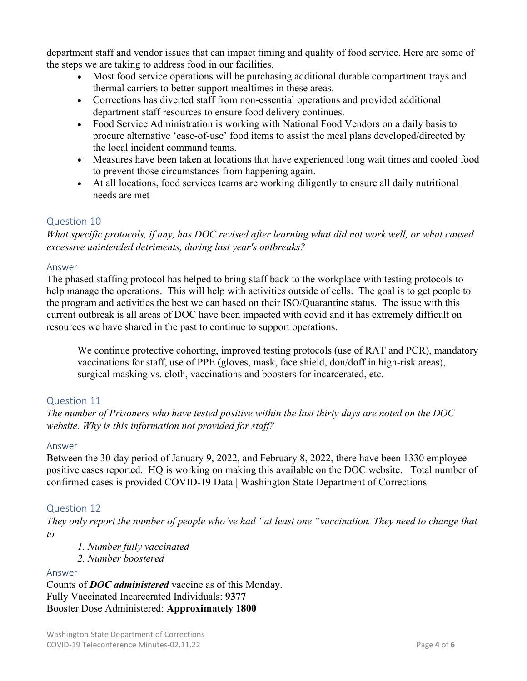department staff and vendor issues that can impact timing and quality of food service. Here are some of the steps we are taking to address food in our facilities.

- Most food service operations will be purchasing additional durable compartment trays and thermal carriers to better support mealtimes in these areas.
- Corrections has diverted staff from non-essential operations and provided additional department staff resources to ensure food delivery continues.
- Food Service Administration is working with National Food Vendors on a daily basis to procure alternative 'ease-of-use' food items to assist the meal plans developed/directed by the local incident command teams.
- Measures have been taken at locations that have experienced long wait times and cooled food to prevent those circumstances from happening again.
- At all locations, food services teams are working diligently to ensure all daily nutritional needs are met

## Question 10

*What specific protocols, if any, has DOC revised after learning what did not work well, or what caused excessive unintended detriments, during last year's outbreaks?* 

#### Answer

The phased staffing protocol has helped to bring staff back to the workplace with testing protocols to help manage the operations. This will help with activities outside of cells. The goal is to get people to the program and activities the best we can based on their ISO/Quarantine status. The issue with this current outbreak is all areas of DOC have been impacted with covid and it has extremely difficult on resources we have shared in the past to continue to support operations.

We continue protective cohorting, improved testing protocols (use of RAT and PCR), mandatory vaccinations for staff, use of PPE (gloves, mask, face shield, don/doff in high-risk areas), surgical masking vs. cloth, vaccinations and boosters for incarcerated, etc.

## Question 11

*The number of Prisoners who have tested positive within the last thirty days are noted on the DOC website. Why is this information not provided for staff?* 

#### Answer

Between the 30-day period of January 9, 2022, and February 8, 2022, there have been 1330 employee positive cases reported. HQ is working on making this available on the DOC website. Total number of confirmed cases is provided [COVID-19 Data | Washington State Department of Corrections](https://doc.wa.gov/corrections/covid-19/data.htm#confirmed)

## Question 12

*They only report the number of people who've had "at least one "vaccination. They need to change that to* 

- *1. Number fully vaccinated*
- *2. Number boostered*

#### Answer

Counts of *DOC administered* vaccine as of this Monday. Fully Vaccinated Incarcerated Individuals: **9377**  Booster Dose Administered: **Approximately 1800**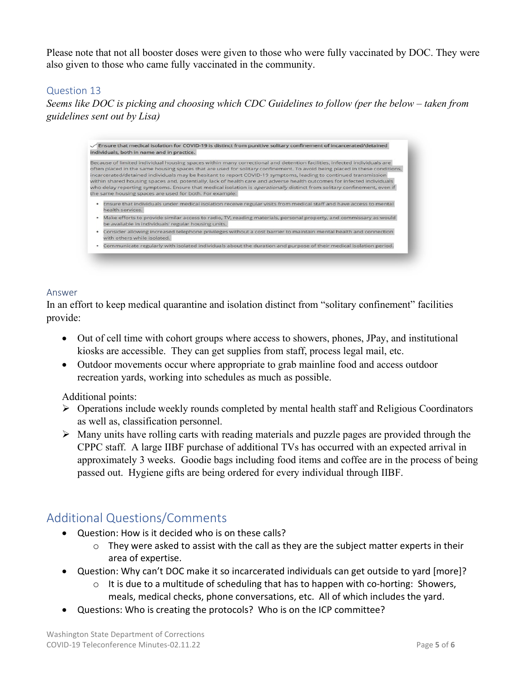Please note that not all booster doses were given to those who were fully vaccinated by DOC. They were also given to those who came fully vaccinated in the community.

## Question 13

*Seems like DOC is picking and choosing which CDC Guidelines to follow (per the below – taken from guidelines sent out by Lisa)* 



#### Answer

In an effort to keep medical quarantine and isolation distinct from "solitary confinement" facilities provide:

- Out of cell time with cohort groups where access to showers, phones, JPay, and institutional kiosks are accessible. They can get supplies from staff, process legal mail, etc.
- Outdoor movements occur where appropriate to grab mainline food and access outdoor recreation yards, working into schedules as much as possible.

#### Additional points:

- Operations include weekly rounds completed by mental health staff and Religious Coordinators as well as, classification personnel.
- $\triangleright$  Many units have rolling carts with reading materials and puzzle pages are provided through the CPPC staff. A large IIBF purchase of additional TVs has occurred with an expected arrival in approximately 3 weeks. Goodie bags including food items and coffee are in the process of being passed out. Hygiene gifts are being ordered for every individual through IIBF.

## Additional Questions/Comments

- Question: How is it decided who is on these calls?
	- o They were asked to assist with the call as they are the subject matter experts in their area of expertise.
- Question: Why can't DOC make it so incarcerated individuals can get outside to yard [more]?
	- $\circ$  It is due to a multitude of scheduling that has to happen with co-horting: Showers, meals, medical checks, phone conversations, etc. All of which includes the yard.
- Questions: Who is creating the protocols? Who is on the ICP committee?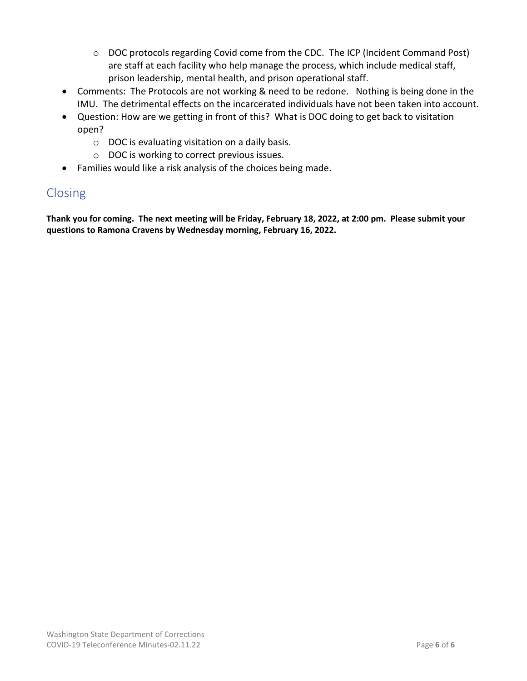- o DOC protocols regarding Covid come from the CDC. The ICP (Incident Command Post) are staff at each facility who help manage the process, which include medical staff, prison leadership, mental health, and prison operational staff.
- Comments: The Protocols are not working & need to be redone. Nothing is being done in the IMU. The detrimental effects on the incarcerated individuals have not been taken into account.
- Question: How are we getting in front of this? What is DOC doing to get back to visitation open?
	- o DOC is evaluating visitation on a daily basis.
	- o DOC is working to correct previous issues.
- Families would like a risk analysis of the choices being made.

# Closing

**Thank you for coming. The next meeting will be Friday, February 18, 2022, at 2:00 pm. Please submit your questions to Ramona Cravens by Wednesday morning, February 16, 2022.**